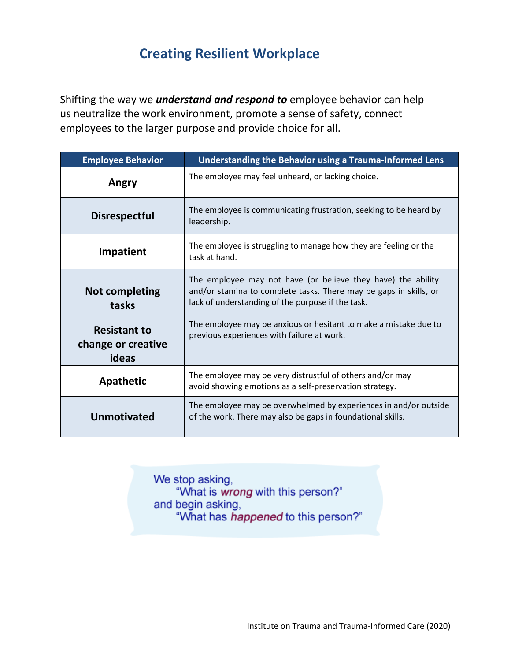## **Creating Resilient Workplace**

Shifting the way we *understand and respond to* employee behavior can help us neutralize the work environment, promote a sense of safety, connect employees to the larger purpose and provide choice for all.

| <b>Employee Behavior</b>                           | Understanding the Behavior using a Trauma-Informed Lens                                                                                                                                |
|----------------------------------------------------|----------------------------------------------------------------------------------------------------------------------------------------------------------------------------------------|
| Angry                                              | The employee may feel unheard, or lacking choice.                                                                                                                                      |
| <b>Disrespectful</b>                               | The employee is communicating frustration, seeking to be heard by<br>leadership.                                                                                                       |
| <b>Impatient</b>                                   | The employee is struggling to manage how they are feeling or the<br>task at hand.                                                                                                      |
| <b>Not completing</b><br>tasks                     | The employee may not have (or believe they have) the ability<br>and/or stamina to complete tasks. There may be gaps in skills, or<br>lack of understanding of the purpose if the task. |
| <b>Resistant to</b><br>change or creative<br>ideas | The employee may be anxious or hesitant to make a mistake due to<br>previous experiences with failure at work.                                                                         |
| <b>Apathetic</b>                                   | The employee may be very distrustful of others and/or may<br>avoid showing emotions as a self-preservation strategy.                                                                   |
| <b>Unmotivated</b>                                 | The employee may be overwhelmed by experiences in and/or outside<br>of the work. There may also be gaps in foundational skills.                                                        |

We stop asking, "What is wrong with this person?" and begin asking, "What has happened to this person?"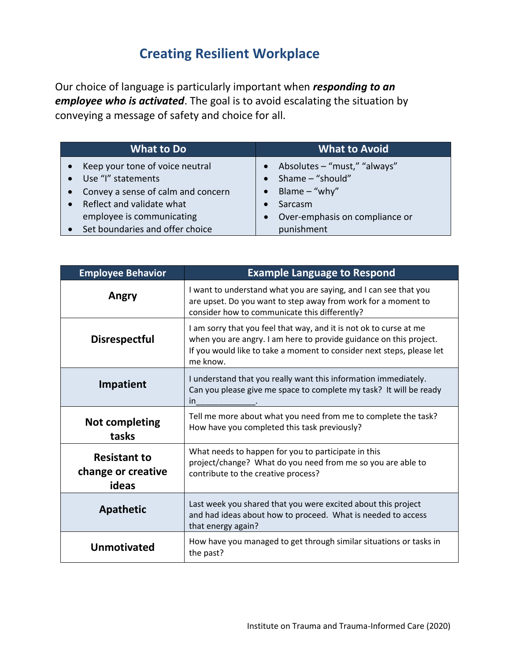## **Creating Resilient Workplace**

Our choice of language is particularly important when *responding to an employee who is activated*. The goal is to avoid escalating the situation by conveying a message of safety and choice for all.

| <b>What to Do</b>                               | <b>What to Avoid</b>                        |
|-------------------------------------------------|---------------------------------------------|
| Keep your tone of voice neutral<br>$\bullet$    | Absolutes – "must," "always"<br>$\bullet$   |
| Use "I" statements<br>$\bullet$                 | Shame - "should"<br>$\bullet$               |
| Convey a sense of calm and concern<br>$\bullet$ | Blame $-$ "why"<br>$\bullet$                |
| Reflect and validate what                       | Sarcasm                                     |
| employee is communicating                       | Over-emphasis on compliance or<br>$\bullet$ |
| Set boundaries and offer choice                 | punishment                                  |

| <b>Employee Behavior</b>                           | <b>Example Language to Respond</b>                                                                                                                                                                                            |
|----------------------------------------------------|-------------------------------------------------------------------------------------------------------------------------------------------------------------------------------------------------------------------------------|
| Angry                                              | I want to understand what you are saying, and I can see that you<br>are upset. Do you want to step away from work for a moment to<br>consider how to communicate this differently?                                            |
| <b>Disrespectful</b>                               | I am sorry that you feel that way, and it is not ok to curse at me<br>when you are angry. I am here to provide guidance on this project.<br>If you would like to take a moment to consider next steps, please let<br>me know. |
| Impatient                                          | I understand that you really want this information immediately.<br>Can you please give me space to complete my task? It will be ready<br>in                                                                                   |
| <b>Not completing</b><br>tasks                     | Tell me more about what you need from me to complete the task?<br>How have you completed this task previously?                                                                                                                |
| <b>Resistant to</b><br>change or creative<br>ideas | What needs to happen for you to participate in this<br>project/change? What do you need from me so you are able to<br>contribute to the creative process?                                                                     |
| <b>Apathetic</b>                                   | Last week you shared that you were excited about this project<br>and had ideas about how to proceed. What is needed to access<br>that energy again?                                                                           |
| <b>Unmotivated</b>                                 | How have you managed to get through similar situations or tasks in<br>the past?                                                                                                                                               |